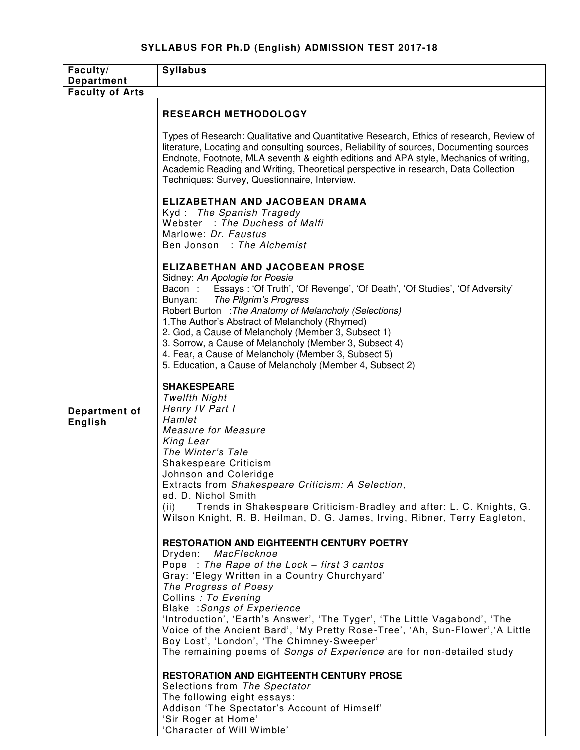## **SYLLABUS FOR Ph.D (English) ADMISSION TEST 2017-18**

| Faculty/                        | <b>Syllabus</b>                                                                                                                                                                                                                                                                                                                                                                                                                                                                                                                                      |
|---------------------------------|------------------------------------------------------------------------------------------------------------------------------------------------------------------------------------------------------------------------------------------------------------------------------------------------------------------------------------------------------------------------------------------------------------------------------------------------------------------------------------------------------------------------------------------------------|
| <b>Department</b>               |                                                                                                                                                                                                                                                                                                                                                                                                                                                                                                                                                      |
| <b>Faculty of Arts</b>          |                                                                                                                                                                                                                                                                                                                                                                                                                                                                                                                                                      |
|                                 | <b>RESEARCH METHODOLOGY</b>                                                                                                                                                                                                                                                                                                                                                                                                                                                                                                                          |
| Department of<br><b>English</b> | Types of Research: Qualitative and Quantitative Research, Ethics of research, Review of<br>literature, Locating and consulting sources, Reliability of sources, Documenting sources<br>Endnote, Footnote, MLA seventh & eighth editions and APA style, Mechanics of writing,<br>Academic Reading and Writing, Theoretical perspective in research, Data Collection<br>Techniques: Survey, Questionnaire, Interview.                                                                                                                                  |
|                                 | ELIZABETHAN AND JACOBEAN DRAMA<br>Kyd: The Spanish Tragedy<br>Webster : The Duchess of Malfi<br>Marlowe: Dr. Faustus<br>Ben Jonson : The Alchemist                                                                                                                                                                                                                                                                                                                                                                                                   |
|                                 | <b>ELIZABETHAN AND JACOBEAN PROSE</b><br>Sidney: An Apologie for Poesie<br>Bacon: Essays: 'Of Truth', 'Of Revenge', 'Of Death', 'Of Studies', 'Of Adversity'<br>Bunyan:<br>The Pilgrim's Progress<br>Robert Burton : The Anatomy of Melancholy (Selections)<br>1. The Author's Abstract of Melancholy (Rhymed)<br>2. God, a Cause of Melancholy (Member 3, Subsect 1)<br>3. Sorrow, a Cause of Melancholy (Member 3, Subsect 4)<br>4. Fear, a Cause of Melancholy (Member 3, Subsect 5)<br>5. Education, a Cause of Melancholy (Member 4, Subsect 2) |
|                                 | <b>SHAKESPEARE</b><br><b>Twelfth Night</b><br>Henry IV Part I<br>Hamlet<br><b>Measure for Measure</b><br>King Lear<br>The Winter's Tale<br>Shakespeare Criticism<br>Johnson and Coleridge<br>Extracts from Shakespeare Criticism: A Selection,<br>ed. D. Nichol Smith<br>Trends in Shakespeare Criticism-Bradley and after: L. C. Knights, G.<br>(ii)<br>Wilson Knight, R. B. Heilman, D. G. James, Irving, Ribner, Terry Eagleton,                                                                                                                  |
|                                 | <b>RESTORATION AND EIGHTEENTH CENTURY POETRY</b><br>Dryden: MacFlecknoe<br>Pope: The Rape of the Lock - first 3 cantos<br>Gray: 'Elegy Written in a Country Churchyard'<br>The Progress of Poesy<br>Collins : To Evening<br>Blake : Songs of Experience<br>'Introduction', 'Earth's Answer', 'The Tyger', 'The Little Vagabond', 'The<br>Voice of the Ancient Bard', 'My Pretty Rose-Tree', 'Ah, Sun-Flower', 'A Little<br>Boy Lost', 'London', 'The Chimney-Sweeper'<br>The remaining poems of Songs of Experience are for non-detailed study       |
|                                 | RESTORATION AND EIGHTEENTH CENTURY PROSE<br>Selections from The Spectator<br>The following eight essays:<br>Addison 'The Spectator's Account of Himself'<br>'Sir Roger at Home'<br>'Character of Will Wimble'                                                                                                                                                                                                                                                                                                                                        |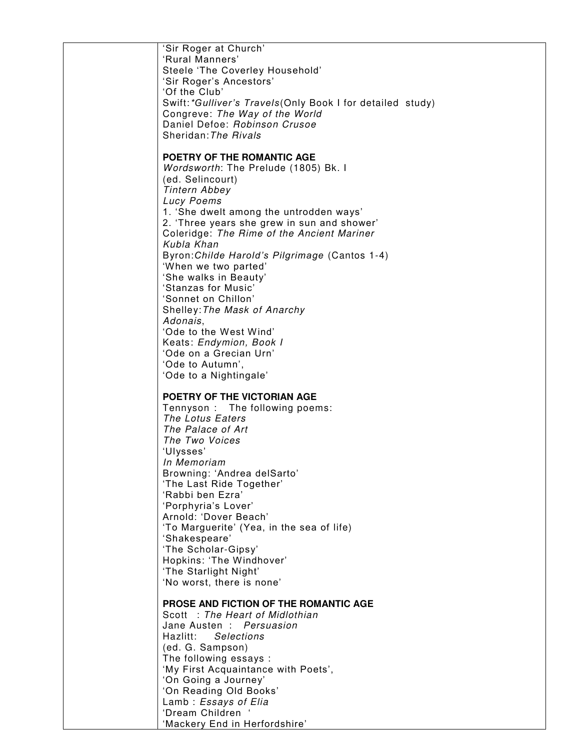| 'Sir Roger at Church'<br>'Rural Manners'<br>Steele 'The Coverley Household'<br>'Sir Roger's Ancestors'<br>'Of the Club'<br>Swift: *Gulliver's Travels (Only Book I for detailed study)<br>Congreve: The Way of the World<br>Daniel Defoe: Robinson Crusoe<br>Sheridan: The Rivals                                                                                                                                                                                                                                                                                                                            |
|--------------------------------------------------------------------------------------------------------------------------------------------------------------------------------------------------------------------------------------------------------------------------------------------------------------------------------------------------------------------------------------------------------------------------------------------------------------------------------------------------------------------------------------------------------------------------------------------------------------|
| POETRY OF THE ROMANTIC AGE<br>Wordsworth: The Prelude (1805) Bk. I<br>(ed. Selincourt)<br><b>Tintern Abbey</b><br>Lucy Poems<br>1. 'She dwelt among the untrodden ways'<br>2. 'Three years she grew in sun and shower'<br>Coleridge: The Rime of the Ancient Mariner<br>Kubla Khan<br>Byron: Childe Harold's Pilgrimage (Cantos 1-4)<br>'When we two parted'<br>'She walks in Beauty'<br>'Stanzas for Music'<br>'Sonnet on Chillon'<br>Shelley: The Mask of Anarchy<br>Adonais,<br>'Ode to the West Wind'<br>Keats: Endymion, Book I<br>'Ode on a Grecian Urn'<br>'Ode to Autumn',<br>'Ode to a Nightingale' |
| POETRY OF THE VICTORIAN AGE<br>Tennyson: The following poems:<br>The Lotus Eaters<br>The Palace of Art<br>The Two Voices<br>'Ulysses'<br>In Memoriam<br>Browning: 'Andrea delSarto'<br>'The Last Ride Together'<br>'Rabbi ben Ezra'<br>'Porphyria's Lover'<br>Arnold: 'Dover Beach'<br>'To Marguerite' (Yea, in the sea of life)<br>'Shakespeare'<br>'The Scholar-Gipsy'<br>Hopkins: 'The Windhover'<br>'The Starlight Night'<br>'No worst, there is none'                                                                                                                                                   |
| <b>PROSE AND FICTION OF THE ROMANTIC AGE</b><br>Scott : The Heart of Midlothian<br>Jane Austen : Persuasion<br>Hazlitt:<br>Selections<br>(ed. G. Sampson)<br>The following essays :<br>'My First Acquaintance with Poets',<br>'On Going a Journey'<br>'On Reading Old Books'<br>Lamb: Essays of Elia<br>'Dream Children<br>'Mackery End in Herfordshire'                                                                                                                                                                                                                                                     |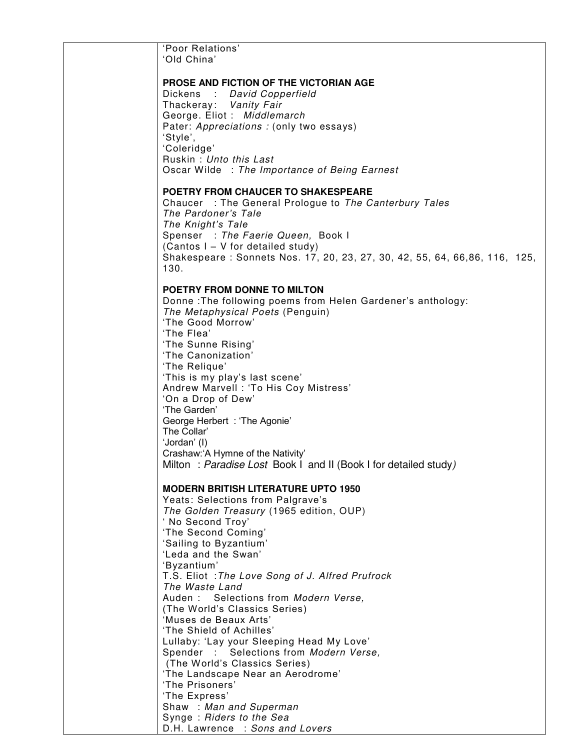| 'Poor Relations'                                                                |
|---------------------------------------------------------------------------------|
| 'Old China'                                                                     |
| <b>PROSE AND FICTION OF THE VICTORIAN AGE</b>                                   |
| Dickens : David Copperfield                                                     |
| Thackeray: Vanity Fair                                                          |
| George. Eliot: Middlemarch                                                      |
| Pater: Appreciations : (only two essays)                                        |
| 'Style',                                                                        |
| 'Coleridge'<br>Ruskin: Unto this Last                                           |
| Oscar Wilde : The Importance of Being Earnest                                   |
|                                                                                 |
| <b>POETRY FROM CHAUCER TO SHAKESPEARE</b>                                       |
| Chaucer : The General Prologue to The Canterbury Tales                          |
| The Pardoner's Tale<br>The Knight's Tale                                        |
| Spenser : The Faerie Queen, Book I                                              |
| (Cantos I - V for detailed study)                                               |
| Shakespeare: Sonnets Nos. 17, 20, 23, 27, 30, 42, 55, 64, 66,86, 116, 125,      |
| 130.                                                                            |
| POETRY FROM DONNE TO MILTON                                                     |
| Donne: The following poems from Helen Gardener's anthology:                     |
| The Metaphysical Poets (Penguin)                                                |
| 'The Good Morrow'                                                               |
| 'The Flea'                                                                      |
| 'The Sunne Rising'<br>'The Canonization'                                        |
| 'The Relique'                                                                   |
| 'This is my play's last scene'                                                  |
| Andrew Marvell : 'To His Coy Mistress'                                          |
| 'On a Drop of Dew'                                                              |
| 'The Garden'                                                                    |
| George Herbert: 'The Agonie'<br>The Collar'                                     |
| 'Jordan' (I)                                                                    |
| Crashaw:'A Hymne of the Nativity'                                               |
| Milton: Paradise Lost Book I and II (Book I for detailed study)                 |
|                                                                                 |
| <b>MODERN BRITISH LITERATURE UPTO 1950</b><br>Yeats: Selections from Palgrave's |
| The Golden Treasury (1965 edition, OUP)                                         |
| 'No Second Troy'                                                                |
| 'The Second Coming'                                                             |
| 'Sailing to Byzantium'                                                          |
| 'Leda and the Swan'<br>'Byzantium'                                              |
| T.S. Eliot : The Love Song of J. Alfred Prufrock                                |
| The Waste Land                                                                  |
| Auden: Selections from Modern Verse,                                            |
| (The World's Classics Series)                                                   |
| 'Muses de Beaux Arts'                                                           |
| 'The Shield of Achilles'<br>Lullaby: 'Lay your Sleeping Head My Love'           |
| Spender : Selections from Modern Verse,                                         |
| (The World's Classics Series)                                                   |
| 'The Landscape Near an Aerodrome'                                               |
| 'The Prisoners'                                                                 |
| 'The Express'                                                                   |
| Shaw: Man and Superman<br>Synge: Riders to the Sea                              |
| D.H. Lawrence : Sons and Lovers                                                 |